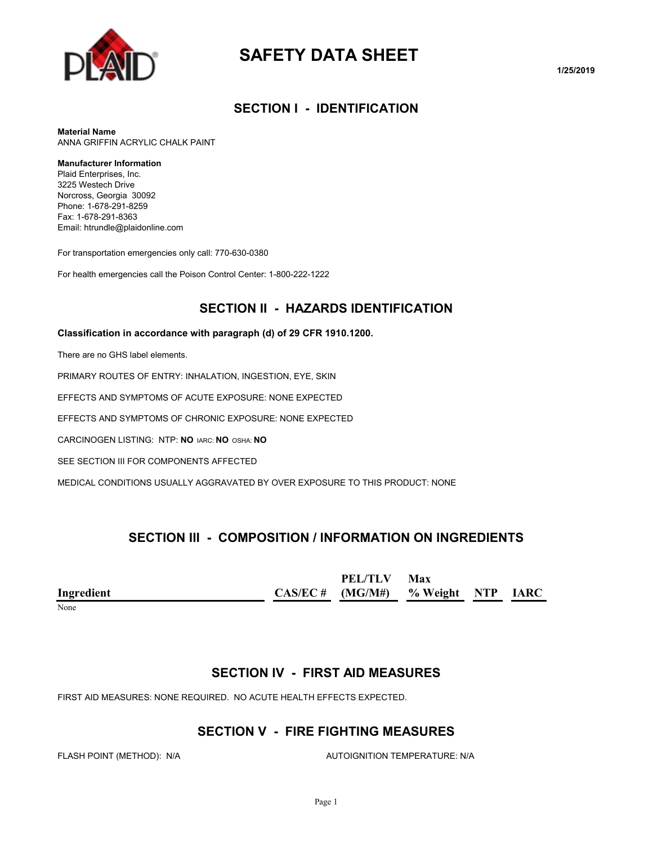

# **SAFETY DATA SHEET**

**1/25/2019**

#### **SECTION I - IDENTIFICATION**

**Material Name**

ANNA GRIFFIN ACRYLIC CHALK PAINT

#### **Manufacturer Information**

Plaid Enterprises, Inc. 3225 Westech Drive Norcross, Georgia 30092 Phone: 1-678-291-8259 Fax: 1-678-291-8363 Email: htrundle@plaidonline.com

For transportation emergencies only call: 770-630-0380

For health emergencies call the Poison Control Center: 1-800-222-1222

#### **SECTION II - HAZARDS IDENTIFICATION**

#### **Classification in accordance with paragraph (d) of 29 CFR 1910.1200.**

There are no GHS label elements.

PRIMARY ROUTES OF ENTRY: INHALATION, INGESTION, EYE, SKIN

EFFECTS AND SYMPTOMS OF ACUTE EXPOSURE: NONE EXPECTED

EFFECTS AND SYMPTOMS OF CHRONIC EXPOSURE: NONE EXPECTED

CARCINOGEN LISTING: NTP: **NO** IARC: **NO** OSHA: **NO**

SEE SECTION III FOR COMPONENTS AFFECTED

MEDICAL CONDITIONS USUALLY AGGRAVATED BY OVER EXPOSURE TO THIS PRODUCT: NONE

#### **SECTION III - COMPOSITION / INFORMATION ON INGREDIENTS**

|               | <b>PEL/TLV</b>                       | Max |  |
|---------------|--------------------------------------|-----|--|
| Ingredient    | $CAS/EC$ # (MG/M#) % Weight NTP IARC |     |  |
| $\sim$ $\sim$ |                                      |     |  |

None

#### **SECTION IV - FIRST AID MEASURES**

FIRST AID MEASURES: NONE REQUIRED. NO ACUTE HEALTH EFFECTS EXPECTED.

#### **SECTION V - FIRE FIGHTING MEASURES**

FLASH POINT (METHOD): N/A **AUTOIGNITION TEMPERATURE: N/A**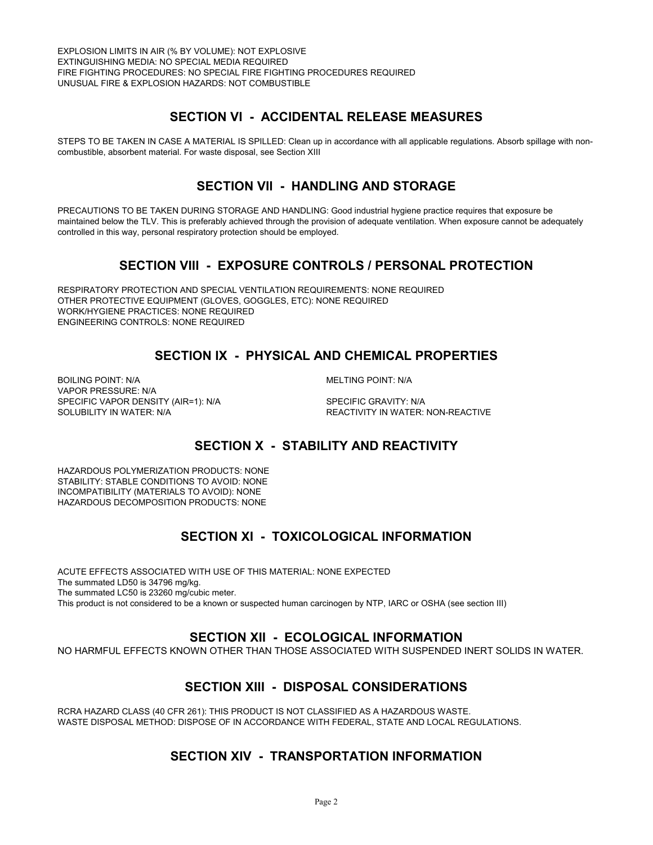### **SECTION VI - ACCIDENTAL RELEASE MEASURES**

STEPS TO BE TAKEN IN CASE A MATERIAL IS SPILLED: Clean up in accordance with all applicable regulations. Absorb spillage with noncombustible, absorbent material. For waste disposal, see Section XIII

#### **SECTION VII - HANDLING AND STORAGE**

PRECAUTIONS TO BE TAKEN DURING STORAGE AND HANDLING: Good industrial hygiene practice requires that exposure be maintained below the TLV. This is preferably achieved through the provision of adequate ventilation. When exposure cannot be adequately controlled in this way, personal respiratory protection should be employed.

### **SECTION VIII - EXPOSURE CONTROLS / PERSONAL PROTECTION**

RESPIRATORY PROTECTION AND SPECIAL VENTILATION REQUIREMENTS: NONE REQUIRED OTHER PROTECTIVE EQUIPMENT (GLOVES, GOGGLES, ETC): NONE REQUIRED WORK/HYGIENE PRACTICES: NONE REQUIRED ENGINEERING CONTROLS: NONE REQUIRED

### **SECTION IX - PHYSICAL AND CHEMICAL PROPERTIES**

BOILING POINT: N/A **MELTING POINT: N/A** VAPOR PRESSURE: N/A SPECIFIC VAPOR DENSITY (AIR=1): N/A SPECIFIC GRAVITY: N/A

SOLUBILITY IN WATER: N/A **REACTIVITY IN WATER: NON-REACTIVE** 

# **SECTION X - STABILITY AND REACTIVITY**

HAZARDOUS POLYMERIZATION PRODUCTS: NONE STABILITY: STABLE CONDITIONS TO AVOID: NONE INCOMPATIBILITY (MATERIALS TO AVOID): NONE HAZARDOUS DECOMPOSITION PRODUCTS: NONE

# **SECTION XI - TOXICOLOGICAL INFORMATION**

ACUTE EFFECTS ASSOCIATED WITH USE OF THIS MATERIAL: NONE EXPECTED The summated LD50 is 34796 mg/kg. The summated LC50 is 23260 mg/cubic meter. This product is not considered to be a known or suspected human carcinogen by NTP, IARC or OSHA (see section III)

#### **SECTION XII - ECOLOGICAL INFORMATION**

NO HARMFUL EFFECTS KNOWN OTHER THAN THOSE ASSOCIATED WITH SUSPENDED INERT SOLIDS IN WATER.

#### **SECTION XIII - DISPOSAL CONSIDERATIONS**

RCRA HAZARD CLASS (40 CFR 261): THIS PRODUCT IS NOT CLASSIFIED AS A HAZARDOUS WASTE. WASTE DISPOSAL METHOD: DISPOSE OF IN ACCORDANCE WITH FEDERAL, STATE AND LOCAL REGULATIONS.

# **SECTION XIV - TRANSPORTATION INFORMATION**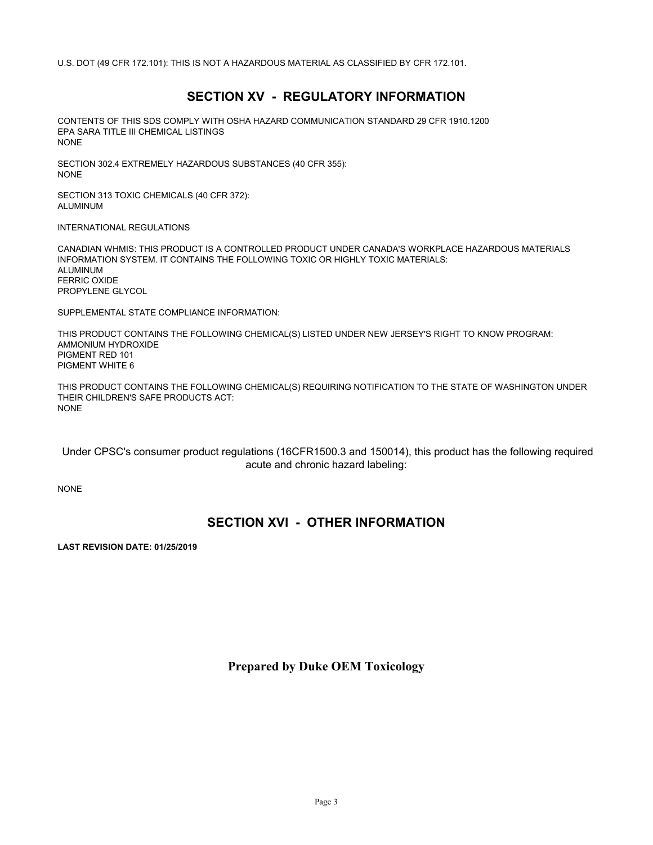U.S. DOT (49 CFR 172.101): THIS IS NOT A HAZARDOUS MATERIAL AS CLASSIFIED BY CFR 172.101.

#### **SECTION XV - REGULATORY INFORMATION**

CONTENTS OF THIS SDS COMPLY WITH OSHA HAZARD COMMUNICATION STANDARD 29 CFR 1910.1200 EPA SARA TITLE III CHEMICAL LISTINGS NONE

SECTION 302.4 EXTREMELY HAZARDOUS SUBSTANCES (40 CFR 355): NONE

SECTION 313 TOXIC CHEMICALS (40 CFR 372): ALUMINUM

INTERNATIONAL REGULATIONS

CANADIAN WHMIS: THIS PRODUCT IS A CONTROLLED PRODUCT UNDER CANADA'S WORKPLACE HAZARDOUS MATERIALS INFORMATION SYSTEM. IT CONTAINS THE FOLLOWING TOXIC OR HIGHLY TOXIC MATERIALS: ALUMINUM FERRIC OXIDE PROPYLENE GLYCOL

SUPPLEMENTAL STATE COMPLIANCE INFORMATION:

THIS PRODUCT CONTAINS THE FOLLOWING CHEMICAL(S) LISTED UNDER NEW JERSEY'S RIGHT TO KNOW PROGRAM: AMMONIUM HYDROXIDE PIGMENT RED 101 PIGMENT WHITE 6

THIS PRODUCT CONTAINS THE FOLLOWING CHEMICAL(S) REQUIRING NOTIFICATION TO THE STATE OF WASHINGTON UNDER THEIR CHILDREN'S SAFE PRODUCTS ACT: NONE

 Under CPSC's consumer product regulations (16CFR1500.3 and 150014), this product has the following required acute and chronic hazard labeling:

NONE

#### **SECTION XVI - OTHER INFORMATION**

**LAST REVISION DATE: 01/25/2019**

**Prepared by Duke OEM Toxicology**